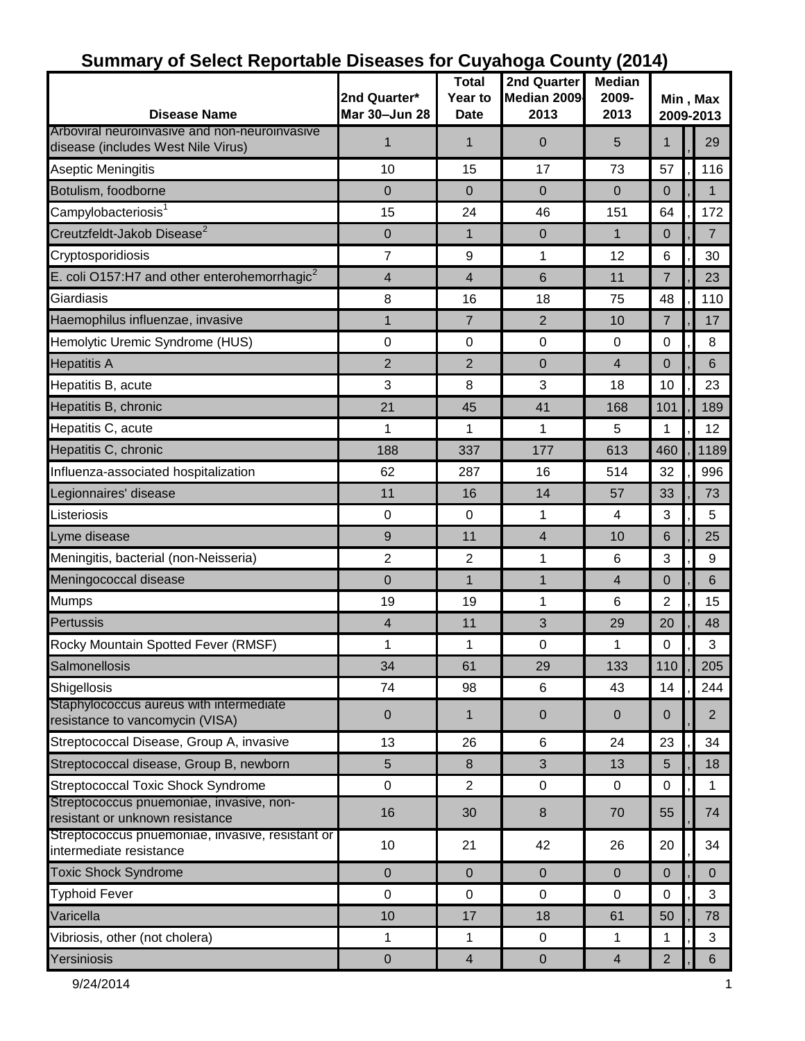| <b>Disease Name</b>                                                                 | 2nd Quarter*<br>Mar 30-Jun 28 | <b>Total</b><br>Year to<br><b>Date</b> | 2nd Quarter<br>Median 2009<br>2013 | <b>Median</b><br>2009-<br>2013 | Min, Max<br>2009-2013 |  |                |  |
|-------------------------------------------------------------------------------------|-------------------------------|----------------------------------------|------------------------------------|--------------------------------|-----------------------|--|----------------|--|
| Arboviral neuroinvasive and non-neuroinvasive<br>disease (includes West Nile Virus) | 1                             | 1                                      | 0                                  | 5                              | 1                     |  | 29             |  |
| Aseptic Meningitis                                                                  | 10                            | 15                                     | 17                                 | 73                             | 57                    |  | 116            |  |
| Botulism, foodborne                                                                 | $\mathbf 0$                   | 0                                      | $\mathbf{0}$                       | $\overline{0}$                 | $\mathbf 0$           |  | $\mathbf{1}$   |  |
| Campylobacteriosis <sup>1</sup>                                                     | 15                            | 24                                     | 46                                 | 151                            | 64                    |  | 172            |  |
| Creutzfeldt-Jakob Disease <sup>2</sup>                                              | $\pmb{0}$                     | $\mathbf{1}$                           | $\pmb{0}$                          | $\mathbf{1}$                   | $\overline{0}$        |  | $\overline{7}$ |  |
| Cryptosporidiosis                                                                   | $\overline{7}$                | 9                                      | 1                                  | 12                             | 6                     |  | 30             |  |
| E. coli O157:H7 and other enterohemorrhagic <sup>2</sup>                            | 4                             | 4                                      | 6                                  | 11                             | $\overline{7}$        |  | 23             |  |
| Giardiasis                                                                          | 8                             | 16                                     | 18                                 | 75                             | 48                    |  | 110            |  |
| Haemophilus influenzae, invasive                                                    | $\mathbf{1}$                  | $\overline{7}$                         | $\overline{2}$                     | 10                             | $\overline{7}$        |  | 17             |  |
| Hemolytic Uremic Syndrome (HUS)                                                     | 0                             | 0                                      | $\mathbf 0$                        | $\mathbf 0$                    | 0                     |  | 8              |  |
| <b>Hepatitis A</b>                                                                  | $\overline{2}$                | $\overline{2}$                         | $\pmb{0}$                          | $\overline{\mathbf{4}}$        | 0                     |  | 6              |  |
| Hepatitis B, acute                                                                  | $\mathbf{3}$                  | 8                                      | 3                                  | 18                             | 10                    |  | 23             |  |
| Hepatitis B, chronic                                                                | 21                            | 45                                     | 41                                 | 168                            | 101                   |  | 189            |  |
| Hepatitis C, acute                                                                  | 1                             | 1                                      | 1                                  | 5                              | 1                     |  | 12             |  |
| Hepatitis C, chronic                                                                | 188                           | 337                                    | 177                                | 613                            | 460                   |  | 1189           |  |
| Influenza-associated hospitalization                                                | 62                            | 287                                    | 16                                 | 514                            | 32                    |  | 996            |  |
| Legionnaires' disease                                                               | 11                            | 16                                     | 14                                 | 57                             | 33                    |  | 73             |  |
| Listeriosis                                                                         | 0                             | 0                                      | 1                                  | $\overline{4}$                 | 3                     |  | 5              |  |
| Lyme disease                                                                        | 9                             | 11                                     | $\overline{4}$                     | 10                             | 6                     |  | 25             |  |
| Meningitis, bacterial (non-Neisseria)                                               | $\overline{2}$                | $\overline{2}$                         | 1                                  | 6                              | 3                     |  | 9              |  |
| Meningococcal disease                                                               | 0                             | $\mathbf{1}$                           | 1                                  | $\overline{4}$                 | 0                     |  | 6              |  |
| Mumps                                                                               | 19                            | 19                                     | 1                                  | 6                              | 2                     |  | 15             |  |
| Pertussis                                                                           | $\overline{4}$                | 11                                     | 3                                  | 29                             | 20                    |  | 48             |  |
| Rocky Mountain Spotted Fever (RMSF)                                                 | 1                             | 1                                      | $\pmb{0}$                          | 1                              | 0                     |  | 3              |  |
| Salmonellosis                                                                       | 34                            | 61                                     | 29                                 | 133                            | 110                   |  | 205            |  |
| Shigellosis                                                                         | 74                            | 98                                     | 6                                  | 43                             | 14                    |  | 244            |  |
| Staphylococcus aureus with intermediate<br>resistance to vancomycin (VISA)          | $\pmb{0}$                     | 1                                      | $\pmb{0}$                          | $\mathbf 0$                    | $\overline{0}$        |  | $\overline{2}$ |  |
| Streptococcal Disease, Group A, invasive                                            | 13                            | 26                                     | 6                                  | 24                             | 23                    |  | 34             |  |
| Streptococcal disease, Group B, newborn                                             | 5                             | 8                                      | $\mathfrak{S}$                     | 13                             | 5                     |  | 18             |  |
| <b>Streptococcal Toxic Shock Syndrome</b>                                           | $\boldsymbol{0}$              | $\overline{2}$                         | $\mathbf 0$                        | 0                              | $\mathbf 0$           |  | 1              |  |
| Streptococcus pnuemoniae, invasive, non-<br>resistant or unknown resistance         | 16                            | 30                                     | $\bf 8$                            | 70                             | 55                    |  | 74             |  |
| Streptococcus pnuemoniae, invasive, resistant or<br>intermediate resistance         | 10                            | 21                                     | 42                                 | 26                             | 20                    |  | 34             |  |
| <b>Toxic Shock Syndrome</b>                                                         | $\mathbf 0$                   | $\mathbf 0$                            | $\overline{0}$                     | $\overline{0}$                 | $\mathbf{0}$          |  | $\Omega$       |  |
| <b>Typhoid Fever</b>                                                                | $\mathbf 0$                   | 0                                      | $\mathbf 0$                        | $\mathbf 0$                    | 0                     |  | 3              |  |
| Varicella                                                                           | 10                            | 17                                     | 18                                 | 61                             | 50                    |  | 78             |  |
| Vibriosis, other (not cholera)                                                      | 1                             | 1                                      | $\pmb{0}$                          | 1                              | 1                     |  | 3              |  |
| Yersiniosis                                                                         | $\pmb{0}$                     | $\overline{\mathbf{4}}$                | $\pmb{0}$                          | $\overline{4}$                 | $\overline{2}$        |  | 6              |  |

### **Summary of Select Reportable Diseases for Cuyahoga County (2014)**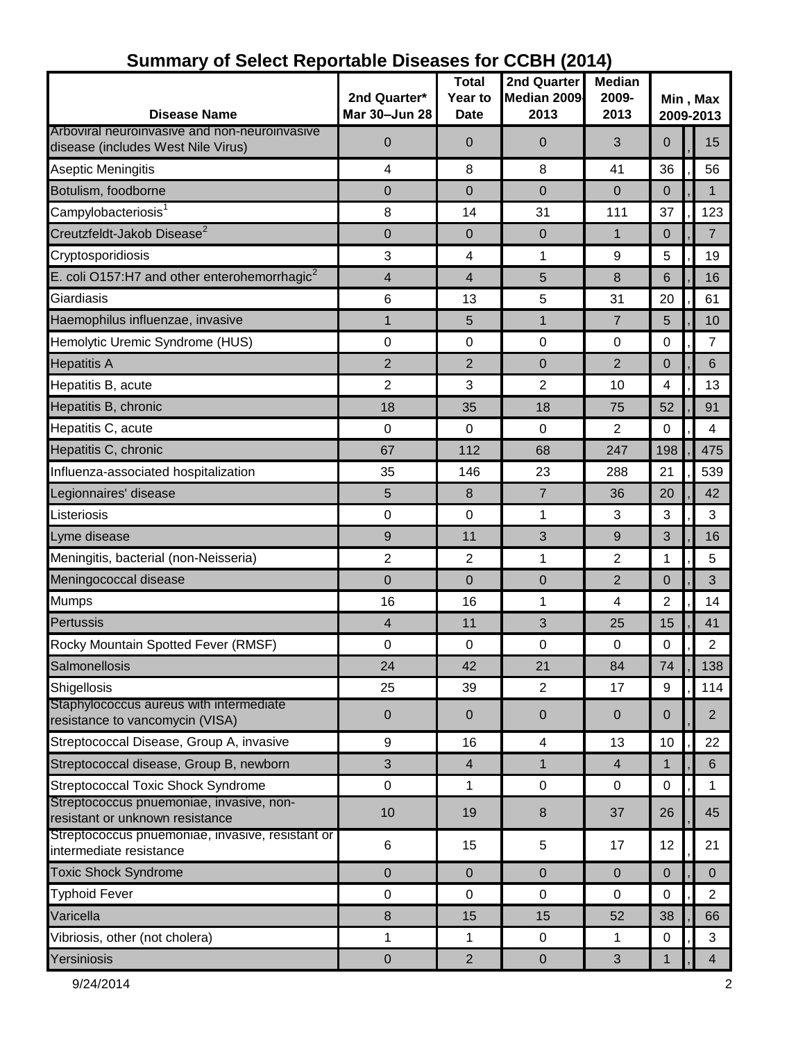|                                                                             |                  | <b>Total</b>   | 2nd Quarter    | <b>Median</b>  | Min, Max       |  |                |
|-----------------------------------------------------------------------------|------------------|----------------|----------------|----------------|----------------|--|----------------|
|                                                                             | 2nd Quarter*     | Year to        | Median 2009    | 2009-          |                |  |                |
| <b>Disease Name</b><br>Arboviral neuroinvasive and non-neuroinvasive        | Mar 30-Jun 28    | <b>Date</b>    | 2013           | 2013           |                |  | 2009-2013      |
| disease (includes West Nile Virus)                                          | $\mathbf 0$      | $\overline{0}$ | 0              | 3              | $\overline{0}$ |  | 15             |
| <b>Aseptic Meningitis</b>                                                   | 4                | 8              | 8              | 41             | 36             |  | 56             |
| Botulism, foodborne                                                         | $\mathbf 0$      | 0              | $\mathbf 0$    | $\overline{0}$ | $\overline{0}$ |  | $\mathbf 1$    |
| Campylobacteriosis <sup>1</sup>                                             | 8                | 14             | 31             | 111            | 37             |  | 123            |
| Creutzfeldt-Jakob Disease <sup>2</sup>                                      | 0                | 0              | 0              | $\mathbf{1}$   | $\overline{0}$ |  | $\overline{7}$ |
| Cryptosporidiosis                                                           | $\mathbf{3}$     | 4              | 1              | 9              | 5              |  | 19             |
| E. coli O157:H7 and other enterohemorrhagic $2$                             | $\overline{4}$   | 4              | 5              | 8              | 6              |  | 16             |
| Giardiasis                                                                  | 6                | 13             | 5              | 31             | 20             |  | 61             |
| Haemophilus influenzae, invasive                                            | 1                | 5              | $\mathbf{1}$   | $\overline{7}$ | 5              |  | 10             |
| Hemolytic Uremic Syndrome (HUS)                                             | $\mathbf 0$      | 0              | $\pmb{0}$      | 0              | 0              |  | 7              |
| <b>Hepatitis A</b>                                                          | $\overline{2}$   | $\overline{2}$ | $\mathbf 0$    | $\overline{2}$ | $\mathbf 0$    |  | 6              |
| Hepatitis B, acute                                                          | $\overline{2}$   | 3              | 2              | 10             | 4              |  | 13             |
| Hepatitis B, chronic                                                        | 18               | 35             | 18             | 75             | 52             |  | 91             |
| Hepatitis C, acute                                                          | $\pmb{0}$        | 0              | $\pmb{0}$      | 2              | $\mathbf 0$    |  | 4              |
| Hepatitis C, chronic                                                        | 67               | 112            | 68             | 247            | 198            |  | 475            |
| Influenza-associated hospitalization                                        | 35               | 146            | 23             | 288            | 21             |  | 539            |
| Legionnaires' disease                                                       | 5                | 8              | $\overline{7}$ | 36             | 20             |  | 42             |
| Listeriosis                                                                 | $\pmb{0}$        | 0              | $\mathbf{1}$   | 3              | 3              |  | 3              |
| Lyme disease                                                                | $9$              | 11             | 3              | $9$            | 3              |  | 16             |
| Meningitis, bacterial (non-Neisseria)                                       | $\overline{2}$   | $\overline{2}$ | 1              | $\overline{2}$ | 1              |  | 5              |
| Meningococcal disease                                                       | $\mathbf 0$      | $\mathbf 0$    | $\mathbf 0$    | $\overline{2}$ | 0              |  | 3              |
| <b>Mumps</b>                                                                | 16               | 16             | $\mathbf 1$    | 4              | 2              |  | 14             |
| Pertussis                                                                   | $\overline{4}$   | 11             | 3              | 25             | 15             |  | 41             |
| Rocky Mountain Spotted Fever (RMSF)                                         | $\pmb{0}$        | 0              | $\pmb{0}$      | 0              | $\pmb{0}$      |  | $\overline{2}$ |
| Salmonellosis                                                               | 24               | 42             | 21             | 84             | 74             |  | 138            |
| Shigellosis                                                                 | 25               | 39             | $\overline{2}$ | 17             | 9              |  | 114            |
| Staphylococcus aureus with intermediate<br>resistance to vancomycin (VISA)  | $\pmb{0}$        | $\pmb{0}$      | $\pmb{0}$      | $\mathbf 0$    | $\pmb{0}$      |  | $\overline{2}$ |
| Streptococcal Disease, Group A, invasive                                    | $\boldsymbol{9}$ | 16             | 4              | 13             | 10             |  | 22             |
| Streptococcal disease, Group B, newborn                                     | 3                | $\overline{4}$ | $\mathbf{1}$   | $\overline{4}$ | $\mathbf 1$    |  | 6              |
| <b>Streptococcal Toxic Shock Syndrome</b>                                   | $\pmb{0}$        | 1              | 0              | 0              | $\pmb{0}$      |  | 1              |
| Streptococcus pnuemoniae, invasive, non-<br>resistant or unknown resistance | 10               | 19             | 8              | 37             | 26             |  | 45             |
| Streptococcus pnuemoniae, invasive, resistant or<br>intermediate resistance | 6                | 15             | 5              | 17             | 12             |  | 21             |
| <b>Toxic Shock Syndrome</b>                                                 | $\pmb{0}$        | $\pmb{0}$      | $\pmb{0}$      | $\mathbf 0$    | $\pmb{0}$      |  | $\pmb{0}$      |
| <b>Typhoid Fever</b>                                                        | $\pmb{0}$        | 0              | $\pmb{0}$      | $\mathbf 0$    | $\mathbf 0$    |  | $\overline{2}$ |
| Varicella                                                                   | $\bf 8$          | 15             | 15             | 52             | 38             |  | 66             |
| Vibriosis, other (not cholera)                                              | 1                | 1              | $\pmb{0}$      | 1              | $\pmb{0}$      |  | 3              |
| Yersiniosis                                                                 | $\pmb{0}$        | $\overline{2}$ | $\pmb{0}$      | $\mathbf{3}$   | 1              |  | $\overline{4}$ |

### **Summary of Select Reportable Diseases for CCBH (2014)**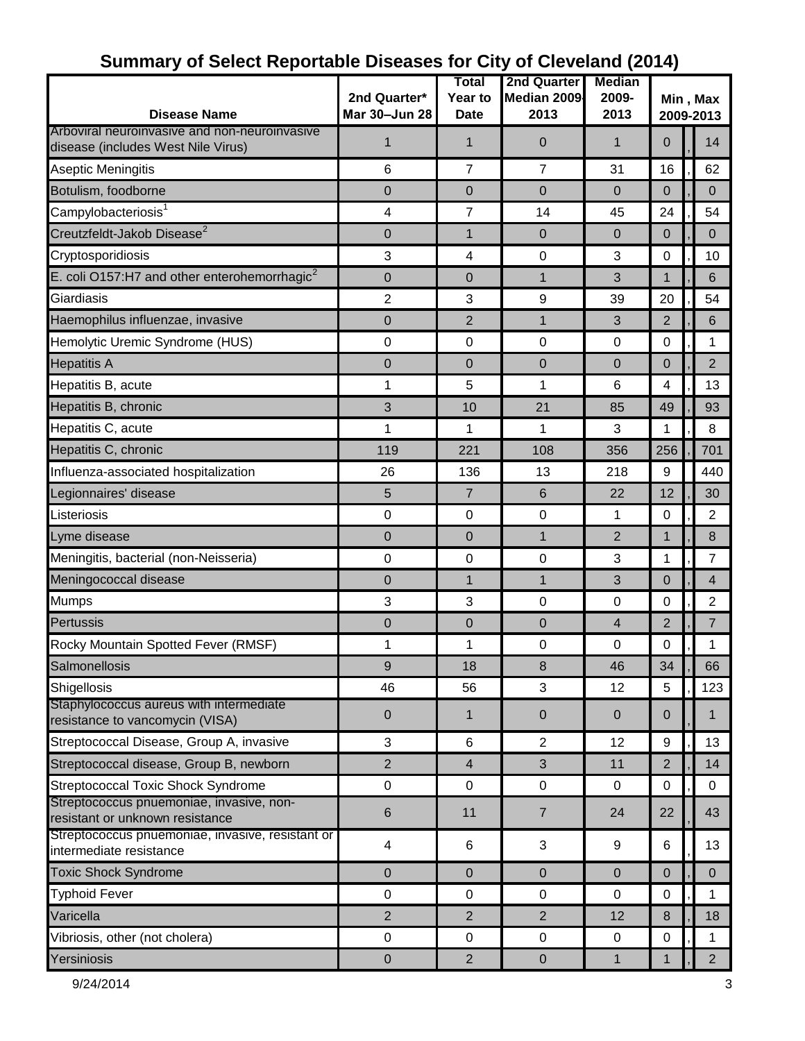| <b>Disease Name</b>                                                                 | 2nd Quarter*<br>Mar 30-Jun 28 | Total<br><b>Year to</b><br><b>Date</b> | <b>2nd Quarter</b><br>Median 2009<br>2013 | <b>Median</b><br>2009-<br>2013 | Min, Max<br>2009-2013 |  |                |
|-------------------------------------------------------------------------------------|-------------------------------|----------------------------------------|-------------------------------------------|--------------------------------|-----------------------|--|----------------|
| Arboviral neuroinvasive and non-neuroinvasive<br>disease (includes West Nile Virus) | 1                             | 1                                      | 0                                         | 1                              | $\mathbf{0}$          |  | 14             |
| Aseptic Meningitis                                                                  | 6                             | $\overline{7}$                         | $\overline{7}$                            | 31                             | 16                    |  | 62             |
| Botulism, foodborne                                                                 | 0                             | 0                                      | $\mathbf 0$                               | $\mathbf 0$                    | $\mathbf 0$           |  | $\mathbf 0$    |
| Campylobacteriosis <sup>1</sup>                                                     | $\overline{\mathbf{4}}$       | 7                                      | 14                                        | 45                             | 24                    |  | 54             |
| Creutzfeldt-Jakob Disease <sup>2</sup>                                              | $\pmb{0}$                     | 1                                      | $\pmb{0}$                                 | $\overline{0}$                 | $\overline{0}$        |  | $\Omega$       |
| Cryptosporidiosis                                                                   | $\mathbf{3}$                  | 4                                      | $\pmb{0}$                                 | 3                              | 0                     |  | 10             |
| E. coli O157:H7 and other enterohemorrhagic <sup>2</sup>                            | 0                             | 0                                      | $\mathbf{1}$                              | 3                              | 1                     |  | 6              |
| Giardiasis                                                                          | $\overline{2}$                | 3                                      | 9                                         | 39                             | 20                    |  | 54             |
| Haemophilus influenzae, invasive                                                    | 0                             | $\overline{2}$                         | $\mathbf{1}$                              | 3                              | $\overline{2}$        |  | 6              |
| Hemolytic Uremic Syndrome (HUS)                                                     | 0                             | 0                                      | $\mathbf 0$                               | $\mathbf 0$                    | 0                     |  | 1              |
| <b>Hepatitis A</b>                                                                  | 0                             | 0                                      | 0                                         | 0                              | 0                     |  | $\overline{2}$ |
| Hepatitis B, acute                                                                  | 1                             | 5                                      | 1                                         | 6                              | 4                     |  | 13             |
| Hepatitis B, chronic                                                                | 3                             | 10                                     | 21                                        | 85                             | 49                    |  | 93             |
| Hepatitis C, acute                                                                  | 1                             | 1                                      | 1                                         | 3                              | 1                     |  | 8              |
| Hepatitis C, chronic                                                                | 119                           | 221                                    | 108                                       | 356                            | 256                   |  | 701            |
| Influenza-associated hospitalization                                                | 26                            | 136                                    | 13                                        | 218                            | 9                     |  | 440            |
| Legionnaires' disease                                                               | 5                             | $\overline{7}$                         | 6                                         | 22                             | 12                    |  | 30             |
| Listeriosis                                                                         | $\mathbf 0$                   | 0                                      | $\mathbf 0$                               | 1                              | 0                     |  | 2              |
| Lyme disease                                                                        | $\mathbf 0$                   | 0                                      | $\mathbf{1}$                              | $\overline{2}$                 | $\mathbf 1$           |  | 8              |
| Meningitis, bacterial (non-Neisseria)                                               | $\pmb{0}$                     | $\mathbf 0$                            | $\pmb{0}$                                 | 3                              | 1                     |  | 7              |
| Meningococcal disease                                                               | $\mathbf 0$                   | 1                                      | 1                                         | 3                              | 0                     |  | $\overline{4}$ |
| <b>Mumps</b>                                                                        | 3                             | 3                                      | $\pmb{0}$                                 | $\mathbf 0$                    | 0                     |  | $\overline{2}$ |
| Pertussis                                                                           | $\mathbf 0$                   | 0                                      | 0                                         | $\overline{4}$                 | $\overline{2}$        |  | 7              |
| Rocky Mountain Spotted Fever (RMSF)                                                 | 1                             | 1                                      | $\pmb{0}$                                 | $\mathbf 0$                    | 0                     |  | 1              |
| Salmonellosis                                                                       | 9                             | 18                                     | 8                                         | 46                             | 34                    |  | 66             |
| Shigellosis                                                                         | 46                            | 56                                     | 3                                         | 12                             | 5                     |  | 123            |
| Staphylococcus aureus with intermediate<br>resistance to vancomycin (VISA)          | $\pmb{0}$                     | $\mathbf{1}$                           | $\pmb{0}$                                 | $\mathbf 0$                    | $\mathbf 0$           |  | $\mathbf 1$    |
| Streptococcal Disease, Group A, invasive                                            | 3                             | 6                                      | $\overline{2}$                            | 12                             | 9                     |  | 13             |
| Streptococcal disease, Group B, newborn                                             | $\overline{2}$                | $\overline{4}$                         | 3                                         | 11                             | $\overline{2}$        |  | 14             |
| <b>Streptococcal Toxic Shock Syndrome</b>                                           | $\pmb{0}$                     | $\mathbf 0$                            | $\mathbf 0$                               | 0                              | $\pmb{0}$             |  | $\mathbf 0$    |
| Streptococcus pnuemoniae, invasive, non-<br>resistant or unknown resistance         | $\,6$                         | 11                                     | $\overline{7}$                            | 24                             | 22                    |  | 43             |
| Streptococcus pnuemoniae, invasive, resistant or<br>intermediate resistance         | $\overline{\mathbf{4}}$       | 6                                      | 3                                         | $\boldsymbol{9}$               | 6                     |  | 13             |
| <b>Toxic Shock Syndrome</b>                                                         | $\pmb{0}$                     | 0                                      | $\pmb{0}$                                 | $\mathbf{0}$                   | $\mathbf 0$           |  | $\mathbf{0}$   |
| <b>Typhoid Fever</b>                                                                | $\mathbf 0$                   | $\mathbf 0$                            | $\mathbf 0$                               | $\mathbf 0$                    | 0                     |  | 1              |
| Varicella                                                                           | $\overline{2}$                | $\overline{2}$                         | $\overline{2}$                            | 12                             | 8                     |  | 18             |
| Vibriosis, other (not cholera)                                                      | $\mathbf 0$                   | $\mathbf 0$                            | $\pmb{0}$                                 | $\mathbf 0$                    | 0                     |  | 1              |
| Yersiniosis                                                                         | $\pmb{0}$                     | $\overline{2}$                         | $\pmb{0}$                                 | $\mathbf{1}$                   | 1                     |  | 2 <sup>7</sup> |

# **Summary of Select Reportable Diseases for City of Cleveland (2014)**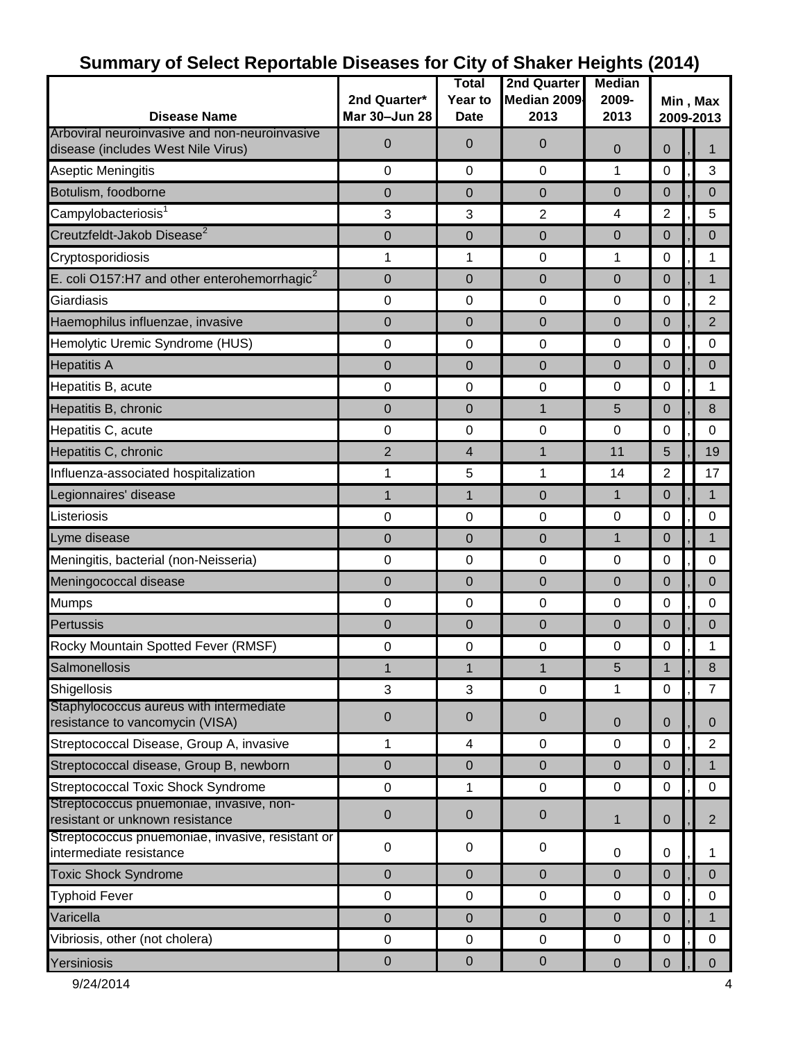|                                                                                     |                  | <b>Total</b> | <b>2nd Quarter</b> | ◡<br><b>Median</b>      |                  |  |                |  |
|-------------------------------------------------------------------------------------|------------------|--------------|--------------------|-------------------------|------------------|--|----------------|--|
|                                                                                     | 2nd Quarter*     | Year to      | Median 2009        | 2009-                   | Min, Max         |  |                |  |
| <b>Disease Name</b>                                                                 | Mar 30-Jun 28    | <b>Date</b>  | 2013               | 2013                    | 2009-2013        |  |                |  |
| Arboviral neuroinvasive and non-neuroinvasive<br>disease (includes West Nile Virus) | $\mathbf 0$      | 0            | 0                  | $\mathbf 0$             | $\overline{0}$   |  |                |  |
| Aseptic Meningitis                                                                  | $\mathbf 0$      | 0            | 0                  | 1                       | 0                |  | 3              |  |
| Botulism, foodborne                                                                 | $\mathbf 0$      | 0            | 0                  | $\overline{0}$          | $\mathbf 0$      |  | $\mathbf 0$    |  |
| Campylobacteriosis <sup>1</sup>                                                     | 3                | 3            | $\overline{2}$     | $\overline{\mathbf{4}}$ | $\overline{2}$   |  | 5              |  |
| Creutzfeldt-Jakob Disease <sup>2</sup>                                              | $\mathbf 0$      | 0            | 0                  | $\overline{0}$          | $\mathbf 0$      |  | $\Omega$       |  |
| Cryptosporidiosis                                                                   | 1                | 1            | $\pmb{0}$          | 1                       | 0                |  | 1              |  |
| E. coli O157:H7 and other enterohemorrhagic $2$                                     | $\mathbf 0$      | 0            | 0                  | $\overline{0}$          | $\mathbf 0$      |  | 1              |  |
| Giardiasis                                                                          | 0                | 0            | $\pmb{0}$          | $\mathbf 0$             | 0                |  | $\overline{2}$ |  |
| Haemophilus influenzae, invasive                                                    | $\mathbf 0$      | 0            | 0                  | $\mathbf 0$             | $\mathbf 0$      |  | $\overline{2}$ |  |
| Hemolytic Uremic Syndrome (HUS)                                                     | 0                | 0            | 0                  | $\mathbf 0$             | 0                |  | 0              |  |
| <b>Hepatitis A</b>                                                                  | $\mathbf 0$      | 0            | 0                  | $\overline{0}$          | $\mathbf 0$      |  | $\mathbf 0$    |  |
| Hepatitis B, acute                                                                  | 0                | 0            | 0                  | 0                       | 0                |  | 1              |  |
| Hepatitis B, chronic                                                                | $\mathbf 0$      | 0            | $\mathbf{1}$       | 5                       | $\mathbf 0$      |  | 8              |  |
| Hepatitis C, acute                                                                  | 0                | $\mathbf 0$  | 0                  | $\mathbf 0$             | 0                |  | $\mathbf 0$    |  |
| Hepatitis C, chronic                                                                | $\overline{2}$   | 4            | $\mathbf{1}$       | 11                      | 5                |  | 19             |  |
| Influenza-associated hospitalization                                                | 1                | 5            | 1                  | 14                      | $\overline{2}$   |  | 17             |  |
| Legionnaires' disease                                                               | 1                | $\mathbf{1}$ | $\pmb{0}$          | $\mathbf{1}$            | $\mathbf 0$      |  | $\mathbf 1$    |  |
| Listeriosis                                                                         | 0                | $\mathbf 0$  | 0                  | $\mathbf 0$             | 0                |  | $\mathbf 0$    |  |
| Lyme disease                                                                        | $\mathbf 0$      | 0            | $\boldsymbol{0}$   | $\mathbf{1}$            | 0                |  | 1              |  |
| Meningitis, bacterial (non-Neisseria)                                               | $\pmb{0}$        | $\mathbf 0$  | $\pmb{0}$          | $\mathbf 0$             | 0                |  | $\mathbf 0$    |  |
| Meningococcal disease                                                               | $\boldsymbol{0}$ | 0            | $\pmb{0}$          | $\overline{0}$          | $\mathbf 0$      |  | $\mathbf{0}$   |  |
| <b>Mumps</b>                                                                        | 0                | $\mathbf 0$  | $\mathbf 0$        | $\mathbf 0$             | 0                |  | $\mathbf 0$    |  |
| Pertussis                                                                           | 0                | 0            | 0                  | $\mathbf 0$             | 0                |  | $\pmb{0}$      |  |
| Rocky Mountain Spotted Fever (RMSF)                                                 | 0                | 0            | 0                  | $\mathbf 0$             | 0                |  | 1              |  |
| Salmonellosis                                                                       | $\mathbf{1}$     | 1            | $\mathbf{1}$       | 5                       | 1                |  | 8              |  |
| Shigellosis                                                                         | $\mathbf{3}$     | 3            | $\mathbf 0$        | 1                       | $\mathbf 0$      |  | $\overline{7}$ |  |
| Staphylococcus aureus with intermediate<br>resistance to vancomycin (VISA)          | $\pmb{0}$        | 0            | $\mathbf 0$        | $\mathbf 0$             | $\mathbf 0$      |  | $\mathbf{0}$   |  |
| Streptococcal Disease, Group A, invasive                                            | 1                | 4            | $\pmb{0}$          | 0                       | 0                |  | $\overline{2}$ |  |
| Streptococcal disease, Group B, newborn                                             | $\pmb{0}$        | $\pmb{0}$    | $\pmb{0}$          | $\mathbf 0$             | $\mathbf 0$      |  | 1              |  |
| <b>Streptococcal Toxic Shock Syndrome</b>                                           | $\pmb{0}$        | 1            | $\pmb{0}$          | 0                       | $\mathbf 0$      |  | 0              |  |
| Streptococcus pnuemoniae, invasive, non-<br>resistant or unknown resistance         | $\pmb{0}$        | 0            | $\pmb{0}$          | $\mathbf{1}$            | $\mathbf 0$      |  | $\overline{2}$ |  |
| Streptococcus pnuemoniae, invasive, resistant or<br>intermediate resistance         | $\pmb{0}$        | 0            | $\pmb{0}$          | 0                       | 0                |  | 1              |  |
| <b>Toxic Shock Syndrome</b>                                                         | $\mathbf 0$      | 0            | $\mathbf 0$        | $\overline{0}$          | $\mathbf 0$      |  | $\Omega$       |  |
| <b>Typhoid Fever</b>                                                                | $\pmb{0}$        | $\pmb{0}$    | $\pmb{0}$          | $\pmb{0}$               | $\boldsymbol{0}$ |  | 0              |  |
| Varicella                                                                           | $\mathbf 0$      | 0            | $\mathbf 0$        | $\overline{0}$          | $\mathbf 0$      |  | 1              |  |
| Vibriosis, other (not cholera)                                                      | 0                | $\pmb{0}$    | $\pmb{0}$          | 0                       | 0                |  | 0              |  |
| Yersiniosis                                                                         | $\pmb{0}$        | $\pmb{0}$    | $\pmb{0}$          | $\pmb{0}$               |                  |  | $\pmb{0}$      |  |
|                                                                                     |                  |              |                    |                         | $\mathbf 0$      |  |                |  |

# **Summary of Select Reportable Diseases for City of Shaker Heights (2014)**

9/24/2014 4